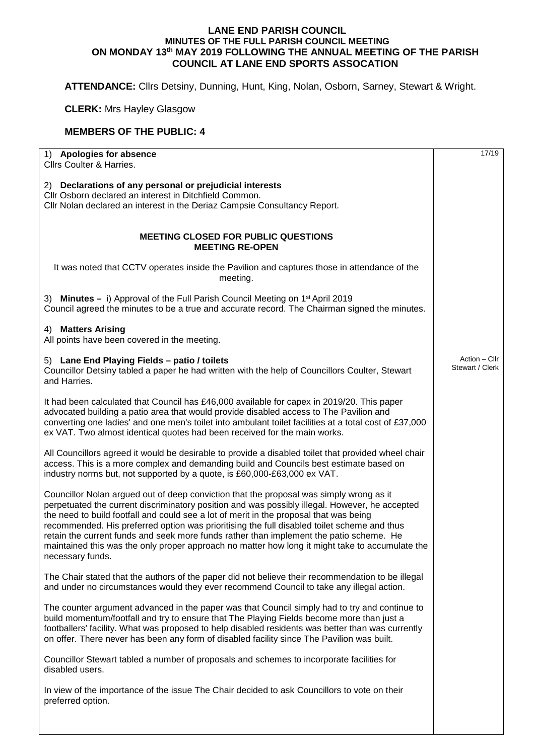## **LANE END PARISH COUNCIL MINUTES OF THE FULL PARISH COUNCIL MEETING ON MONDAY 13th MAY 2019 FOLLOWING THE ANNUAL MEETING OF THE PARISH COUNCIL AT LANE END SPORTS ASSOCATION**

**ATTENDANCE:** Cllrs Detsiny, Dunning, Hunt, King, Nolan, Osborn, Sarney, Stewart & Wright.

**CLERK:** Mrs Hayley Glasgow

## **MEMBERS OF THE PUBLIC: 4**

| 1) Apologies for absence<br>Cllrs Coulter & Harries.                                                                                                                                                                                                                                                                                                                                                                                                                                                                                                                                                 | 17/19                            |
|------------------------------------------------------------------------------------------------------------------------------------------------------------------------------------------------------------------------------------------------------------------------------------------------------------------------------------------------------------------------------------------------------------------------------------------------------------------------------------------------------------------------------------------------------------------------------------------------------|----------------------------------|
| 2) Declarations of any personal or prejudicial interests<br>Cllr Osborn declared an interest in Ditchfield Common.<br>Cllr Nolan declared an interest in the Deriaz Campsie Consultancy Report.                                                                                                                                                                                                                                                                                                                                                                                                      |                                  |
| <b>MEETING CLOSED FOR PUBLIC QUESTIONS</b><br><b>MEETING RE-OPEN</b>                                                                                                                                                                                                                                                                                                                                                                                                                                                                                                                                 |                                  |
| It was noted that CCTV operates inside the Pavilion and captures those in attendance of the<br>meeting.                                                                                                                                                                                                                                                                                                                                                                                                                                                                                              |                                  |
| 3) Minutes - i) Approval of the Full Parish Council Meeting on 1 <sup>st</sup> April 2019<br>Council agreed the minutes to be a true and accurate record. The Chairman signed the minutes.                                                                                                                                                                                                                                                                                                                                                                                                           |                                  |
| 4) Matters Arising<br>All points have been covered in the meeting.                                                                                                                                                                                                                                                                                                                                                                                                                                                                                                                                   |                                  |
| 5) Lane End Playing Fields - patio / toilets<br>Councillor Detsiny tabled a paper he had written with the help of Councillors Coulter, Stewart<br>and Harries.                                                                                                                                                                                                                                                                                                                                                                                                                                       | Action - Cllr<br>Stewart / Clerk |
| It had been calculated that Council has £46,000 available for capex in 2019/20. This paper<br>advocated building a patio area that would provide disabled access to The Pavilion and<br>converting one ladies' and one men's toilet into ambulant toilet facilities at a total cost of £37,000<br>ex VAT. Two almost identical quotes had been received for the main works.                                                                                                                                                                                                                          |                                  |
| All Councillors agreed it would be desirable to provide a disabled toilet that provided wheel chair<br>access. This is a more complex and demanding build and Councils best estimate based on<br>industry norms but, not supported by a quote, is £60,000-£63,000 ex VAT.                                                                                                                                                                                                                                                                                                                            |                                  |
| Councillor Nolan argued out of deep conviction that the proposal was simply wrong as it<br>perpetuated the current discriminatory position and was possibly illegal. However, he accepted<br>the need to build footfall and could see a lot of merit in the proposal that was being<br>recommended. His preferred option was prioritising the full disabled toilet scheme and thus<br>retain the current funds and seek more funds rather than implement the patio scheme. He<br>maintained this was the only proper approach no matter how long it might take to accumulate the<br>necessary funds. |                                  |
| The Chair stated that the authors of the paper did not believe their recommendation to be illegal<br>and under no circumstances would they ever recommend Council to take any illegal action.                                                                                                                                                                                                                                                                                                                                                                                                        |                                  |
| The counter argument advanced in the paper was that Council simply had to try and continue to<br>build momentum/footfall and try to ensure that The Playing Fields become more than just a<br>footballers' facility. What was proposed to help disabled residents was better than was currently<br>on offer. There never has been any form of disabled facility since The Pavilion was built.                                                                                                                                                                                                        |                                  |
| Councillor Stewart tabled a number of proposals and schemes to incorporate facilities for<br>disabled users.                                                                                                                                                                                                                                                                                                                                                                                                                                                                                         |                                  |
| In view of the importance of the issue The Chair decided to ask Councillors to vote on their<br>preferred option.                                                                                                                                                                                                                                                                                                                                                                                                                                                                                    |                                  |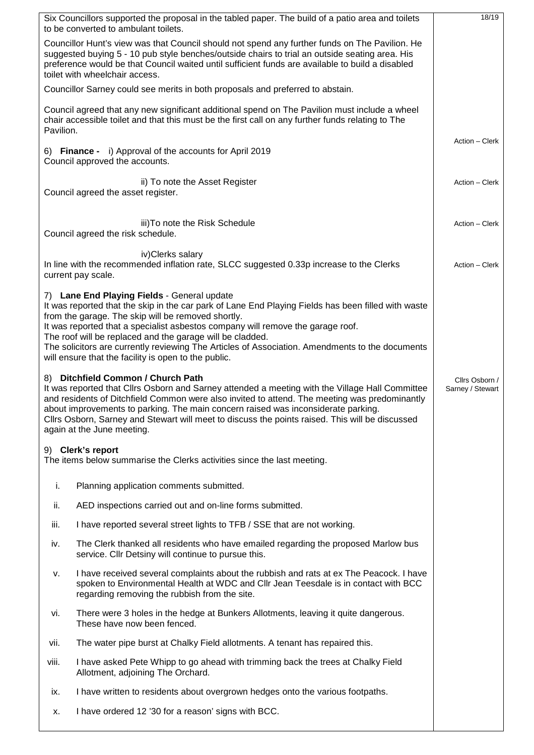|                                                                                                                                                                                                                                                                                                                                                                                                                                                              | Six Councillors supported the proposal in the tabled paper. The build of a patio area and toilets<br>to be converted to ambulant toilets.                                                                                                                                                                                                                                                                                                                                                                           | 18/19          |
|--------------------------------------------------------------------------------------------------------------------------------------------------------------------------------------------------------------------------------------------------------------------------------------------------------------------------------------------------------------------------------------------------------------------------------------------------------------|---------------------------------------------------------------------------------------------------------------------------------------------------------------------------------------------------------------------------------------------------------------------------------------------------------------------------------------------------------------------------------------------------------------------------------------------------------------------------------------------------------------------|----------------|
| Councillor Hunt's view was that Council should not spend any further funds on The Pavilion. He<br>suggested buying 5 - 10 pub style benches/outside chairs to trial an outside seating area. His<br>preference would be that Council waited until sufficient funds are available to build a disabled<br>toilet with wheelchair access.                                                                                                                       |                                                                                                                                                                                                                                                                                                                                                                                                                                                                                                                     |                |
|                                                                                                                                                                                                                                                                                                                                                                                                                                                              | Councillor Sarney could see merits in both proposals and preferred to abstain.                                                                                                                                                                                                                                                                                                                                                                                                                                      |                |
| Council agreed that any new significant additional spend on The Pavilion must include a wheel<br>chair accessible toilet and that this must be the first call on any further funds relating to The<br>Pavilion.                                                                                                                                                                                                                                              |                                                                                                                                                                                                                                                                                                                                                                                                                                                                                                                     |                |
| 6) Finance - i) Approval of the accounts for April 2019<br>Council approved the accounts.                                                                                                                                                                                                                                                                                                                                                                    | Action - Clerk                                                                                                                                                                                                                                                                                                                                                                                                                                                                                                      |                |
|                                                                                                                                                                                                                                                                                                                                                                                                                                                              | ii) To note the Asset Register<br>Council agreed the asset register.                                                                                                                                                                                                                                                                                                                                                                                                                                                | Action - Clerk |
|                                                                                                                                                                                                                                                                                                                                                                                                                                                              | iii) To note the Risk Schedule<br>Council agreed the risk schedule.                                                                                                                                                                                                                                                                                                                                                                                                                                                 | Action - Clerk |
|                                                                                                                                                                                                                                                                                                                                                                                                                                                              | iv) Clerks salary<br>In line with the recommended inflation rate, SLCC suggested 0.33p increase to the Clerks<br>current pay scale.                                                                                                                                                                                                                                                                                                                                                                                 | Action - Clerk |
|                                                                                                                                                                                                                                                                                                                                                                                                                                                              | 7) Lane End Playing Fields - General update<br>It was reported that the skip in the car park of Lane End Playing Fields has been filled with waste<br>from the garage. The skip will be removed shortly.<br>It was reported that a specialist asbestos company will remove the garage roof.<br>The roof will be replaced and the garage will be cladded.<br>The solicitors are currently reviewing The Articles of Association. Amendments to the documents<br>will ensure that the facility is open to the public. |                |
| 8) Ditchfield Common / Church Path<br>It was reported that Clirs Osborn and Sarney attended a meeting with the Village Hall Committee<br>and residents of Ditchfield Common were also invited to attend. The meeting was predominantly<br>about improvements to parking. The main concern raised was inconsiderate parking.<br>Cllrs Osborn, Sarney and Stewart will meet to discuss the points raised. This will be discussed<br>again at the June meeting. | Cllrs Osborn /<br>Sarney / Stewart                                                                                                                                                                                                                                                                                                                                                                                                                                                                                  |                |
|                                                                                                                                                                                                                                                                                                                                                                                                                                                              | 9) Clerk's report<br>The items below summarise the Clerks activities since the last meeting.                                                                                                                                                                                                                                                                                                                                                                                                                        |                |
| i.                                                                                                                                                                                                                                                                                                                                                                                                                                                           | Planning application comments submitted.                                                                                                                                                                                                                                                                                                                                                                                                                                                                            |                |
| ii.                                                                                                                                                                                                                                                                                                                                                                                                                                                          | AED inspections carried out and on-line forms submitted.                                                                                                                                                                                                                                                                                                                                                                                                                                                            |                |
| iii.                                                                                                                                                                                                                                                                                                                                                                                                                                                         | I have reported several street lights to TFB / SSE that are not working.                                                                                                                                                                                                                                                                                                                                                                                                                                            |                |
| iv.                                                                                                                                                                                                                                                                                                                                                                                                                                                          | The Clerk thanked all residents who have emailed regarding the proposed Marlow bus<br>service. Cllr Detsiny will continue to pursue this.                                                                                                                                                                                                                                                                                                                                                                           |                |
| v.                                                                                                                                                                                                                                                                                                                                                                                                                                                           | I have received several complaints about the rubbish and rats at ex The Peacock. I have<br>spoken to Environmental Health at WDC and Cllr Jean Teesdale is in contact with BCC<br>regarding removing the rubbish from the site.                                                                                                                                                                                                                                                                                     |                |
| vi.                                                                                                                                                                                                                                                                                                                                                                                                                                                          | There were 3 holes in the hedge at Bunkers Allotments, leaving it quite dangerous.<br>These have now been fenced.                                                                                                                                                                                                                                                                                                                                                                                                   |                |
| vii.                                                                                                                                                                                                                                                                                                                                                                                                                                                         | The water pipe burst at Chalky Field allotments. A tenant has repaired this.                                                                                                                                                                                                                                                                                                                                                                                                                                        |                |
| viii.                                                                                                                                                                                                                                                                                                                                                                                                                                                        | I have asked Pete Whipp to go ahead with trimming back the trees at Chalky Field<br>Allotment, adjoining The Orchard.                                                                                                                                                                                                                                                                                                                                                                                               |                |
| ix.                                                                                                                                                                                                                                                                                                                                                                                                                                                          | I have written to residents about overgrown hedges onto the various footpaths.                                                                                                                                                                                                                                                                                                                                                                                                                                      |                |
| х.                                                                                                                                                                                                                                                                                                                                                                                                                                                           | I have ordered 12 '30 for a reason' signs with BCC.                                                                                                                                                                                                                                                                                                                                                                                                                                                                 |                |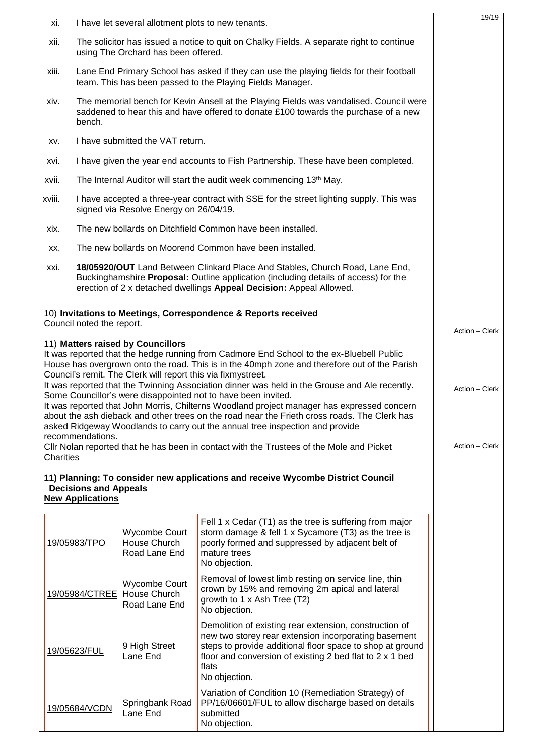| xi.                                                                                                                                                                                                                                                                                                                                                                                                                                          |                                                                                                                                                                                                                                                   | I have let several allotment plots to new tenants.                                                |                                                                                                                                                                                                                                                                   | 19/19          |  |
|----------------------------------------------------------------------------------------------------------------------------------------------------------------------------------------------------------------------------------------------------------------------------------------------------------------------------------------------------------------------------------------------------------------------------------------------|---------------------------------------------------------------------------------------------------------------------------------------------------------------------------------------------------------------------------------------------------|---------------------------------------------------------------------------------------------------|-------------------------------------------------------------------------------------------------------------------------------------------------------------------------------------------------------------------------------------------------------------------|----------------|--|
| xii.                                                                                                                                                                                                                                                                                                                                                                                                                                         | The solicitor has issued a notice to quit on Chalky Fields. A separate right to continue<br>using The Orchard has been offered.                                                                                                                   |                                                                                                   |                                                                                                                                                                                                                                                                   |                |  |
| xiii.                                                                                                                                                                                                                                                                                                                                                                                                                                        |                                                                                                                                                                                                                                                   |                                                                                                   | Lane End Primary School has asked if they can use the playing fields for their football<br>team. This has been passed to the Playing Fields Manager.                                                                                                              |                |  |
| xiv.                                                                                                                                                                                                                                                                                                                                                                                                                                         | bench.                                                                                                                                                                                                                                            |                                                                                                   | The memorial bench for Kevin Ansell at the Playing Fields was vandalised. Council were<br>saddened to hear this and have offered to donate £100 towards the purchase of a new                                                                                     |                |  |
| XV.                                                                                                                                                                                                                                                                                                                                                                                                                                          | I have submitted the VAT return.                                                                                                                                                                                                                  |                                                                                                   |                                                                                                                                                                                                                                                                   |                |  |
| XVİ.                                                                                                                                                                                                                                                                                                                                                                                                                                         |                                                                                                                                                                                                                                                   |                                                                                                   | I have given the year end accounts to Fish Partnership. These have been completed.                                                                                                                                                                                |                |  |
| xvii.                                                                                                                                                                                                                                                                                                                                                                                                                                        |                                                                                                                                                                                                                                                   |                                                                                                   | The Internal Auditor will start the audit week commencing 13 <sup>th</sup> May.                                                                                                                                                                                   |                |  |
| xviii.                                                                                                                                                                                                                                                                                                                                                                                                                                       | I have accepted a three-year contract with SSE for the street lighting supply. This was<br>signed via Resolve Energy on 26/04/19.                                                                                                                 |                                                                                                   |                                                                                                                                                                                                                                                                   |                |  |
| xix.                                                                                                                                                                                                                                                                                                                                                                                                                                         | The new bollards on Ditchfield Common have been installed.                                                                                                                                                                                        |                                                                                                   |                                                                                                                                                                                                                                                                   |                |  |
| XX.                                                                                                                                                                                                                                                                                                                                                                                                                                          | The new bollards on Moorend Common have been installed.                                                                                                                                                                                           |                                                                                                   |                                                                                                                                                                                                                                                                   |                |  |
| XXİ.                                                                                                                                                                                                                                                                                                                                                                                                                                         | 18/05920/OUT Land Between Clinkard Place And Stables, Church Road, Lane End,<br>Buckinghamshire <b>Proposal:</b> Outline application (including details of access) for the<br>erection of 2 x detached dwellings Appeal Decision: Appeal Allowed. |                                                                                                   |                                                                                                                                                                                                                                                                   |                |  |
|                                                                                                                                                                                                                                                                                                                                                                                                                                              |                                                                                                                                                                                                                                                   |                                                                                                   | 10) Invitations to Meetings, Correspondence & Reports received                                                                                                                                                                                                    |                |  |
|                                                                                                                                                                                                                                                                                                                                                                                                                                              | Council noted the report.                                                                                                                                                                                                                         |                                                                                                   |                                                                                                                                                                                                                                                                   | Action - Clerk |  |
|                                                                                                                                                                                                                                                                                                                                                                                                                                              |                                                                                                                                                                                                                                                   | 11) Matters raised by Councillors<br>Council's remit. The Clerk will report this via fixmystreet. | It was reported that the hedge running from Cadmore End School to the ex-Bluebell Public<br>House has overgrown onto the road. This is in the 40mph zone and therefore out of the Parish                                                                          |                |  |
| It was reported that the Twinning Association dinner was held in the Grouse and Ale recently.<br>Some Councillor's were disappointed not to have been invited.<br>It was reported that John Morris, Chilterns Woodland project manager has expressed concern<br>about the ash dieback and other trees on the road near the Frieth cross roads. The Clerk has<br>asked Ridgeway Woodlands to carry out the annual tree inspection and provide |                                                                                                                                                                                                                                                   |                                                                                                   |                                                                                                                                                                                                                                                                   |                |  |
| Charities                                                                                                                                                                                                                                                                                                                                                                                                                                    | recommendations.                                                                                                                                                                                                                                  |                                                                                                   | Cllr Nolan reported that he has been in contact with the Trustees of the Mole and Picket                                                                                                                                                                          | Action - Clerk |  |
|                                                                                                                                                                                                                                                                                                                                                                                                                                              | <b>Decisions and Appeals</b><br><b>New Applications</b>                                                                                                                                                                                           |                                                                                                   | 11) Planning: To consider new applications and receive Wycombe District Council                                                                                                                                                                                   |                |  |
|                                                                                                                                                                                                                                                                                                                                                                                                                                              |                                                                                                                                                                                                                                                   |                                                                                                   |                                                                                                                                                                                                                                                                   |                |  |
|                                                                                                                                                                                                                                                                                                                                                                                                                                              | 19/05983/TPO                                                                                                                                                                                                                                      | <b>Wycombe Court</b><br>House Church<br>Road Lane End                                             | Fell 1 x Cedar (T1) as the tree is suffering from major<br>storm damage & fell 1 x Sycamore (T3) as the tree is<br>poorly formed and suppressed by adjacent belt of<br>mature trees<br>No objection.                                                              |                |  |
|                                                                                                                                                                                                                                                                                                                                                                                                                                              | 19/05984/CTREE                                                                                                                                                                                                                                    | Wycombe Court<br>House Church<br>Road Lane End                                                    | Removal of lowest limb resting on service line, thin<br>crown by 15% and removing 2m apical and lateral<br>growth to 1 x Ash Tree (T2)<br>No objection.                                                                                                           |                |  |
|                                                                                                                                                                                                                                                                                                                                                                                                                                              | 19/05623/FUL                                                                                                                                                                                                                                      | 9 High Street<br>Lane End                                                                         | Demolition of existing rear extension, construction of<br>new two storey rear extension incorporating basement<br>steps to provide additional floor space to shop at ground<br>floor and conversion of existing 2 bed flat to 2 x 1 bed<br>flats<br>No objection. |                |  |
|                                                                                                                                                                                                                                                                                                                                                                                                                                              | 19/05684/VCDN                                                                                                                                                                                                                                     | Springbank Road<br>Lane End                                                                       | Variation of Condition 10 (Remediation Strategy) of<br>PP/16/06601/FUL to allow discharge based on details<br>submitted<br>No objection.                                                                                                                          |                |  |